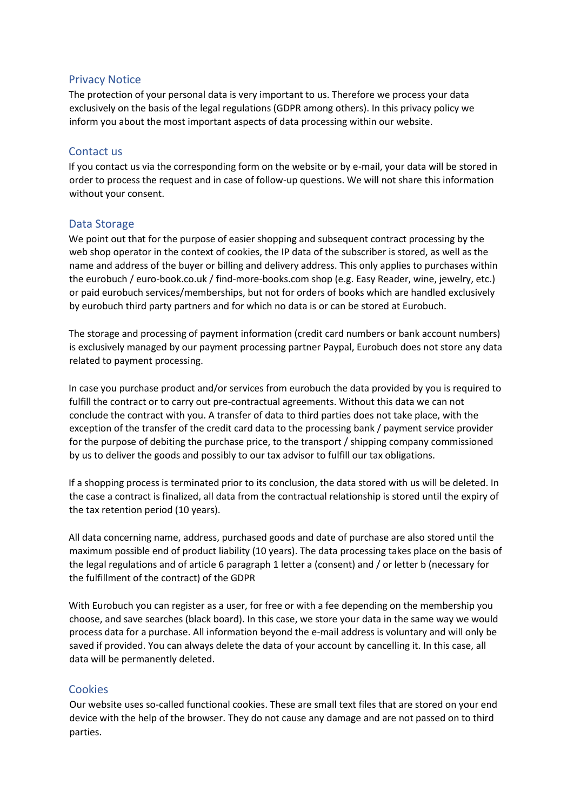### Privacy Notice

The protection of your personal data is very important to us. Therefore we process your data exclusively on the basis of the legal regulations (GDPR among others). In this privacy policy we inform you about the most important aspects of data processing within our website.

# Contact us

If you contact us via the corresponding form on the website or by e-mail, your data will be stored in order to process the request and in case of follow-up questions. We will not share this information without your consent.

## Data Storage

We point out that for the purpose of easier shopping and subsequent contract processing by the web shop operator in the context of cookies, the IP data of the subscriber is stored, as well as the name and address of the buyer or billing and delivery address. This only applies to purchases within the eurobuch / euro-book.co.uk / find-more-books.com shop (e.g. Easy Reader, wine, jewelry, etc.) or paid eurobuch services/memberships, but not for orders of books which are handled exclusively by eurobuch third party partners and for which no data is or can be stored at Eurobuch.

The storage and processing of payment information (credit card numbers or bank account numbers) is exclusively managed by our payment processing partner Paypal, Eurobuch does not store any data related to payment processing.

In case you purchase product and/or services from eurobuch the data provided by you is required to fulfill the contract or to carry out pre-contractual agreements. Without this data we can not conclude the contract with you. A transfer of data to third parties does not take place, with the exception of the transfer of the credit card data to the processing bank / payment service provider for the purpose of debiting the purchase price, to the transport / shipping company commissioned by us to deliver the goods and possibly to our tax advisor to fulfill our tax obligations.

If a shopping process is terminated prior to its conclusion, the data stored with us will be deleted. In the case a contract is finalized, all data from the contractual relationship is stored until the expiry of the tax retention period (10 years).

All data concerning name, address, purchased goods and date of purchase are also stored until the maximum possible end of product liability (10 years). The data processing takes place on the basis of the legal regulations and of article 6 paragraph 1 letter a (consent) and / or letter b (necessary for the fulfillment of the contract) of the GDPR

With Eurobuch you can register as a user, for free or with a fee depending on the membership you choose, and save searches (black board). In this case, we store your data in the same way we would process data for a purchase. All information beyond the e-mail address is voluntary and will only be saved if provided. You can always delete the data of your account by cancelling it. In this case, all data will be permanently deleted.

## **Cookies**

Our website uses so-called functional cookies. These are small text files that are stored on your end device with the help of the browser. They do not cause any damage and are not passed on to third parties.